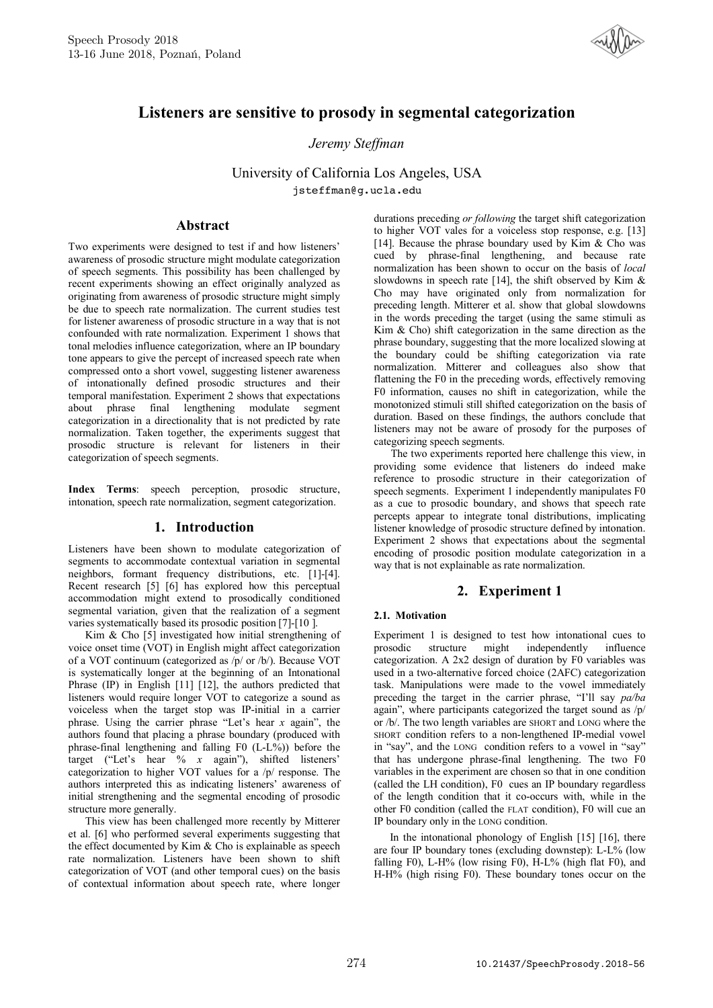

# **Listeners are sensitive to prosody in segmental categorization**

*Jeremy Steffman*

University of California Los Angeles, USA jsteffman@g.ucla.edu

## **Abstract**

Two experiments were designed to test if and how listeners' awareness of prosodic structure might modulate categorization of speech segments. This possibility has been challenged by recent experiments showing an effect originally analyzed as originating from awareness of prosodic structure might simply be due to speech rate normalization. The current studies test for listener awareness of prosodic structure in a way that is not confounded with rate normalization. Experiment 1 shows that tonal melodies influence categorization, where an IP boundary tone appears to give the percept of increased speech rate when compressed onto a short vowel, suggesting listener awareness of intonationally defined prosodic structures and their temporal manifestation. Experiment 2 shows that expectations about phrase final lengthening modulate segment categorization in a directionality that is not predicted by rate normalization. Taken together, the experiments suggest that prosodic structure is relevant for listeners in their categorization of speech segments.

**Index Terms**: speech perception, prosodic structure, intonation, speech rate normalization, segment categorization.

## **1. Introduction**

Listeners have been shown to modulate categorization of segments to accommodate contextual variation in segmental neighbors, formant frequency distributions, etc. [1]-[4]. Recent research [5] [6] has explored how this perceptual accommodation might extend to prosodically conditioned segmental variation, given that the realization of a segment varies systematically based its prosodic position [7]-[10 ].

Kim & Cho [5] investigated how initial strengthening of voice onset time (VOT) in English might affect categorization of a VOT continuum (categorized as /p/ or /b/). Because VOT is systematically longer at the beginning of an Intonational Phrase (IP) in English [11] [12], the authors predicted that listeners would require longer VOT to categorize a sound as voiceless when the target stop was IP-initial in a carrier phrase. Using the carrier phrase "Let's hear *x* again", the authors found that placing a phrase boundary (produced with phrase-final lengthening and falling F0 (L-L%)) before the target ("Let's hear  $\frac{6}{x}$  again"), shifted listeners' categorization to higher VOT values for a /p/ response. The authors interpreted this as indicating listeners' awareness of initial strengthening and the segmental encoding of prosodic structure more generally.

This view has been challenged more recently by Mitterer et al. [6] who performed several experiments suggesting that the effect documented by Kim & Cho is explainable as speech rate normalization. Listeners have been shown to shift categorization of VOT (and other temporal cues) on the basis of contextual information about speech rate, where longer durations preceding *or following* the target shift categorization to higher VOT vales for a voiceless stop response, e.g. [13] [14]. Because the phrase boundary used by  $\overline{K}$ im & Cho was cued by phrase-final lengthening, and because rate normalization has been shown to occur on the basis of *local* slowdowns in speech rate [14], the shift observed by Kim & Cho may have originated only from normalization for preceding length. Mitterer et al. show that global slowdowns in the words preceding the target (using the same stimuli as Kim & Cho) shift categorization in the same direction as the phrase boundary, suggesting that the more localized slowing at the boundary could be shifting categorization via rate normalization. Mitterer and colleagues also show that flattening the F0 in the preceding words, effectively removing F0 information, causes no shift in categorization, while the monotonized stimuli still shifted categorization on the basis of duration. Based on these findings, the authors conclude that listeners may not be aware of prosody for the purposes of categorizing speech segments.

The two experiments reported here challenge this view, in providing some evidence that listeners do indeed make reference to prosodic structure in their categorization of speech segments. Experiment 1 independently manipulates F0 as a cue to prosodic boundary, and shows that speech rate percepts appear to integrate tonal distributions, implicating listener knowledge of prosodic structure defined by intonation. Experiment 2 shows that expectations about the segmental encoding of prosodic position modulate categorization in a way that is not explainable as rate normalization.

## **2. Experiment 1**

## **2.1. Motivation**

Experiment 1 is designed to test how intonational cues to prosodic structure might independently influence categorization. A 2x2 design of duration by F0 variables was used in a two-alternative forced choice (2AFC) categorization task. Manipulations were made to the vowel immediately preceding the target in the carrier phrase, "I'll say *pa/ba*  again", where participants categorized the target sound as /p/ or /b/. The two length variables are SHORT and LONG where the SHORT condition refers to a non-lengthened IP-medial vowel in "say", and the LONG condition refers to a vowel in "say" that has undergone phrase-final lengthening. The two F0 variables in the experiment are chosen so that in one condition (called the LH condition), F0 cues an IP boundary regardless of the length condition that it co-occurs with, while in the other F0 condition (called the FLAT condition), F0 will cue an IP boundary only in the LONG condition.

In the intonational phonology of English [15] [16], there are four IP boundary tones (excluding downstep): L-L% (low falling F0), L-H% (low rising F0), H-L% (high flat F0), and H-H% (high rising F0). These boundary tones occur on the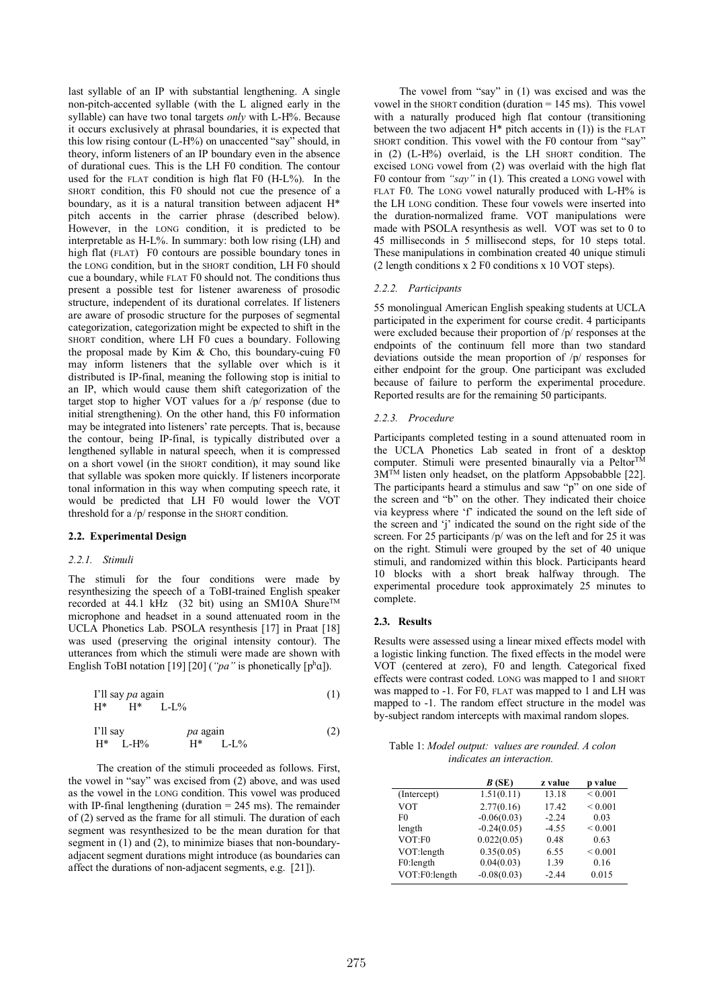last syllable of an IP with substantial lengthening. A single non-pitch-accented syllable (with the L aligned early in the syllable) can have two tonal targets *only* with L-H%. Because it occurs exclusively at phrasal boundaries, it is expected that this low rising contour  $(L-H\%)$  on unaccented "say" should, in theory, inform listeners of an IP boundary even in the absence of durational cues. This is the LH F0 condition. The contour used for the FLAT condition is high flat F0 (H-L%). In the SHORT condition, this F0 should not cue the presence of a boundary, as it is a natural transition between adjacent H\* pitch accents in the carrier phrase (described below). However, in the LONG condition, it is predicted to be interpretable as H-L%. In summary: both low rising (LH) and high flat (FLAT) F0 contours are possible boundary tones in the LONG condition, but in the SHORT condition, LH F0 should cue a boundary, while FLAT F0 should not. The conditions thus present a possible test for listener awareness of prosodic structure, independent of its durational correlates. If listeners are aware of prosodic structure for the purposes of segmental categorization, categorization might be expected to shift in the SHORT condition, where LH F0 cues a boundary. Following the proposal made by Kim & Cho, this boundary-cuing F0 may inform listeners that the syllable over which is it distributed is IP-final, meaning the following stop is initial to an IP, which would cause them shift categorization of the target stop to higher VOT values for a /p/ response (due to initial strengthening). On the other hand, this F0 information may be integrated into listeners' rate percepts. That is, because the contour, being IP-final, is typically distributed over a lengthened syllable in natural speech, when it is compressed on a short vowel (in the SHORT condition), it may sound like that syllable was spoken more quickly. If listeners incorporate tonal information in this way when computing speech rate, it would be predicted that LH F0 would lower the VOT threshold for a /p/ response in the SHORT condition.

## **2.2. Experimental Design**

### *2.2.1. Stimuli*

The stimuli for the four conditions were made by resynthesizing the speech of a ToBI-trained English speaker recorded at 44.1 kHz (32 bit) using an SM10A Shure™ microphone and headset in a sound attenuated room in the UCLA Phonetics Lab. PSOLA resynthesis [17] in Praat [18] was used (preserving the original intensity contour). The utterances from which the stimuli were made are shown with English ToBI notation [19] [20] (*"pa"* is phonetically  $[p^h a]$ ).

I'll say *pa* again  
\n
$$
H^* \tH^* \tL-L%
$$
\n(1)

I'll say 
$$
pa
$$
 again  $H^*$  L-H%  $H^*$  L-L% (2)

The creation of the stimuli proceeded as follows. First, the vowel in "say" was excised from (2) above, and was used as the vowel in the LONG condition. This vowel was produced with IP-final lengthening (duration  $= 245$  ms). The remainder of (2) served as the frame for all stimuli. The duration of each segment was resynthesized to be the mean duration for that segment in (1) and (2), to minimize biases that non-boundaryadjacent segment durations might introduce (as boundaries can affect the durations of non-adjacent segments, e.g. [21]).

The vowel from "say" in (1) was excised and was the vowel in the SHORT condition (duration = 145 ms). This vowel with a naturally produced high flat contour (transitioning between the two adjacent  $H^*$  pitch accents in (1)) is the FLAT SHORT condition. This vowel with the F0 contour from "say" in (2) (L-H%) overlaid, is the LH SHORT condition. The excised LONG vowel from (2) was overlaid with the high flat F0 contour from *"say"* in (1). This created a LONG vowel with FLAT F0. The LONG vowel naturally produced with L-H% is the LH LONG condition. These four vowels were inserted into the duration-normalized frame. VOT manipulations were made with PSOLA resynthesis as well. VOT was set to 0 to 45 milliseconds in 5 millisecond steps, for 10 steps total. These manipulations in combination created 40 unique stimuli (2 length conditions x 2 F0 conditions x 10 VOT steps).

#### *2.2.2. Participants*

55 monolingual American English speaking students at UCLA participated in the experiment for course credit. 4 participants were excluded because their proportion of  $/p$  responses at the endpoints of the continuum fell more than two standard deviations outside the mean proportion of /p/ responses for either endpoint for the group. One participant was excluded because of failure to perform the experimental procedure. Reported results are for the remaining 50 participants.

#### *2.2.3. Procedure*

Participants completed testing in a sound attenuated room in the UCLA Phonetics Lab seated in front of a desktop computer. Stimuli were presented binaurally via a Peltor<sup>TM</sup> 3MTM listen only headset, on the platform Appsobabble [22]. The participants heard a stimulus and saw "p" on one side of the screen and "b" on the other. They indicated their choice via keypress where 'f' indicated the sound on the left side of the screen and 'j' indicated the sound on the right side of the screen. For 25 participants /p/ was on the left and for 25 it was on the right. Stimuli were grouped by the set of 40 unique stimuli, and randomized within this block. Participants heard 10 blocks with a short break halfway through. The experimental procedure took approximately 25 minutes to complete.

#### **2.3. Results**

Results were assessed using a linear mixed effects model with a logistic linking function. The fixed effects in the model were VOT (centered at zero), F0 and length. Categorical fixed effects were contrast coded. LONG was mapped to 1 and SHORT was mapped to -1. For F0, FLAT was mapped to 1 and LH was mapped to -1. The random effect structure in the model was by-subject random intercepts with maximal random slopes.

|                                  | Table 1: Model output: values are rounded. A colon |  |  |
|----------------------------------|----------------------------------------------------|--|--|
| <i>indicates an interaction.</i> |                                                    |  |  |

|                | B(SE)         | z value | p value      |
|----------------|---------------|---------|--------------|
| (Intercept)    | 1.51(0.11)    | 13.18   | ${}_{0.001}$ |
| <b>VOT</b>     | 2.77(0.16)    | 17.42   | ${}_{0.001}$ |
| F <sub>0</sub> | $-0.06(0.03)$ | $-2.24$ | 0.03         |
| length         | $-0.24(0.05)$ | $-4.55$ | ${}< 0.001$  |
| VOT:F0         | 0.022(0.05)   | 0.48    | 0.63         |
| VOT:length     | 0.35(0.05)    | 6.55    | ${}_{0.001}$ |
| F0:length      | 0.04(0.03)    | 1.39    | 0.16         |
| VOT:F0:length  | $-0.08(0.03)$ | $-2.44$ | 0.015        |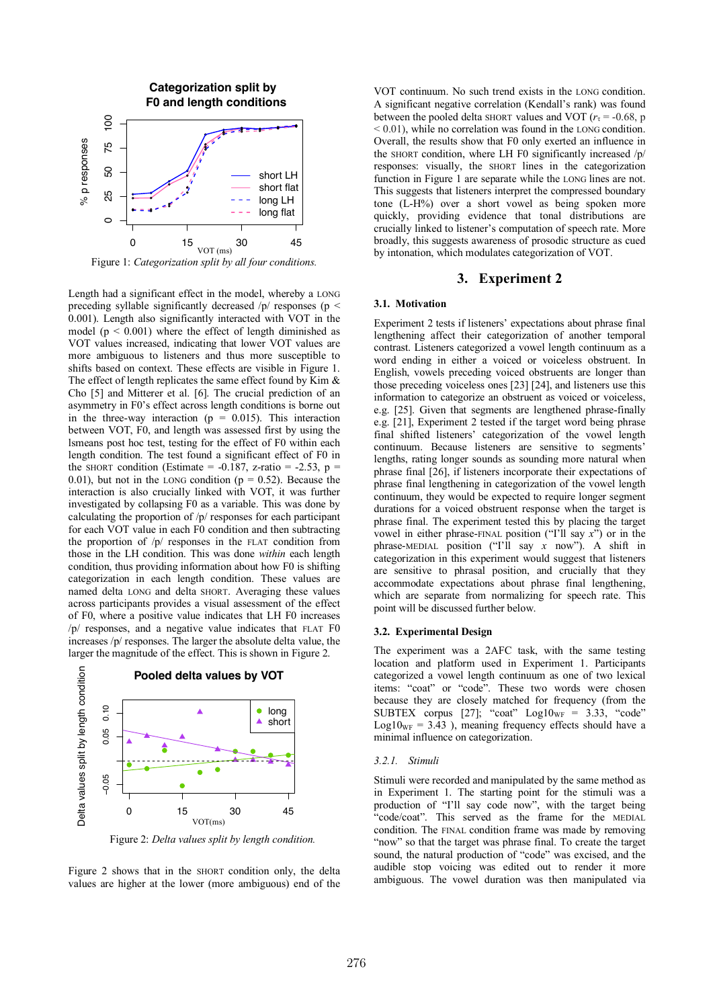

Figure 1: *Categorization split by all four conditions*.

Length had a significant effect in the model, whereby a LONG preceding syllable significantly decreased  $/p$  responses ( $p <$ 0.001). Length also significantly interacted with VOT in the model ( $p < 0.001$ ) where the effect of length diminished as VOT values increased, indicating that lower VOT values are more ambiguous to listeners and thus more susceptible to shifts based on context. These effects are visible in Figure 1. The effect of length replicates the same effect found by Kim & Cho [5] and Mitterer et al. [6]. The crucial prediction of an asymmetry in F0's effect across length conditions is borne out in the three-way interaction ( $p = 0.015$ ). This interaction between VOT, F0, and length was assessed first by using the lsmeans post hoc test, testing for the effect of F0 within each length condition. The test found a significant effect of F0 in the SHORT condition (Estimate =  $-0.187$ , z-ratio =  $-2.53$ , p = 0.01), but not in the LONG condition ( $p = 0.52$ ). Because the interaction is also crucially linked with VOT, it was further investigated by collapsing F0 as a variable. This was done by calculating the proportion of /p/ responses for each participant for each VOT value in each F0 condition and then subtracting the proportion of /p/ responses in the FLAT condition from those in the LH condition. This was done *within* each length condition, thus providing information about how F0 is shifting categorization in each length condition. These values are named delta LONG and delta SHORT. Averaging these values across participants provides a visual assessment of the effect of F0, where a positive value indicates that LH F0 increases /p/ responses, and a negative value indicates that FLAT F0 increases /p/ responses. The larger the absolute delta value, the larger the magnitude of the effect. This is shown in Figure 2.



Figure 2: *Delta values split by length condition*.

Figure 2 shows that in the SHORT condition only, the delta values are higher at the lower (more ambiguous) end of the

VOT continuum. No such trend exists in the LONG condition. A significant negative correlation (Kendall's rank) was found between the pooled delta SHORT values and VOT  $(r<sub>\tau</sub> = -0.68, p)$  $\leq$  0.01), while no correlation was found in the LONG condition. Overall, the results show that F0 only exerted an influence in the SHORT condition, where LH F0 significantly increased /p/ responses: visually, the SHORT lines in the categorization function in Figure 1 are separate while the LONG lines are not. This suggests that listeners interpret the compressed boundary tone (L-H%) over a short vowel as being spoken more quickly, providing evidence that tonal distributions are crucially linked to listener's computation of speech rate. More broadly, this suggests awareness of prosodic structure as cued by intonation, which modulates categorization of VOT.

## **3. Experiment 2**

### **3.1. Motivation**

Experiment 2 tests if listeners' expectations about phrase final lengthening affect their categorization of another temporal contrast. Listeners categorized a vowel length continuum as a word ending in either a voiced or voiceless obstruent. In English, vowels preceding voiced obstruents are longer than those preceding voiceless ones [23] [24], and listeners use this information to categorize an obstruent as voiced or voiceless, e.g. [25]. Given that segments are lengthened phrase-finally e.g. [21], Experiment 2 tested if the target word being phrase final shifted listeners' categorization of the vowel length continuum. Because listeners are sensitive to segments' lengths, rating longer sounds as sounding more natural when phrase final [26], if listeners incorporate their expectations of phrase final lengthening in categorization of the vowel length continuum, they would be expected to require longer segment durations for a voiced obstruent response when the target is phrase final. The experiment tested this by placing the target vowel in either phrase-FINAL position ("I'll say *x*") or in the phrase-MEDIAL position ("I'll say *x* now"). A shift in categorization in this experiment would suggest that listeners are sensitive to phrasal position, and crucially that they accommodate expectations about phrase final lengthening, which are separate from normalizing for speech rate. This point will be discussed further below.

#### **3.2. Experimental Design**

The experiment was a 2AFC task, with the same testing location and platform used in Experiment 1. Participants categorized a vowel length continuum as one of two lexical items: "coat" or "code". These two words were chosen because they are closely matched for frequency (from the SUBTEX corpus [27]; "coat"  $Log10_{WF} = 3.33$ , "code"  $Log10_{WF}$  = 3.43 ), meaning frequency effects should have a minimal influence on categorization.

#### *3.2.1. Stimuli*

Stimuli were recorded and manipulated by the same method as in Experiment 1. The starting point for the stimuli was a production of "I'll say code now", with the target being "code/coat". This served as the frame for the MEDIAL condition. The FINAL condition frame was made by removing "now" so that the target was phrase final. To create the target sound, the natural production of "code" was excised, and the audible stop voicing was edited out to render it more ambiguous. The vowel duration was then manipulated via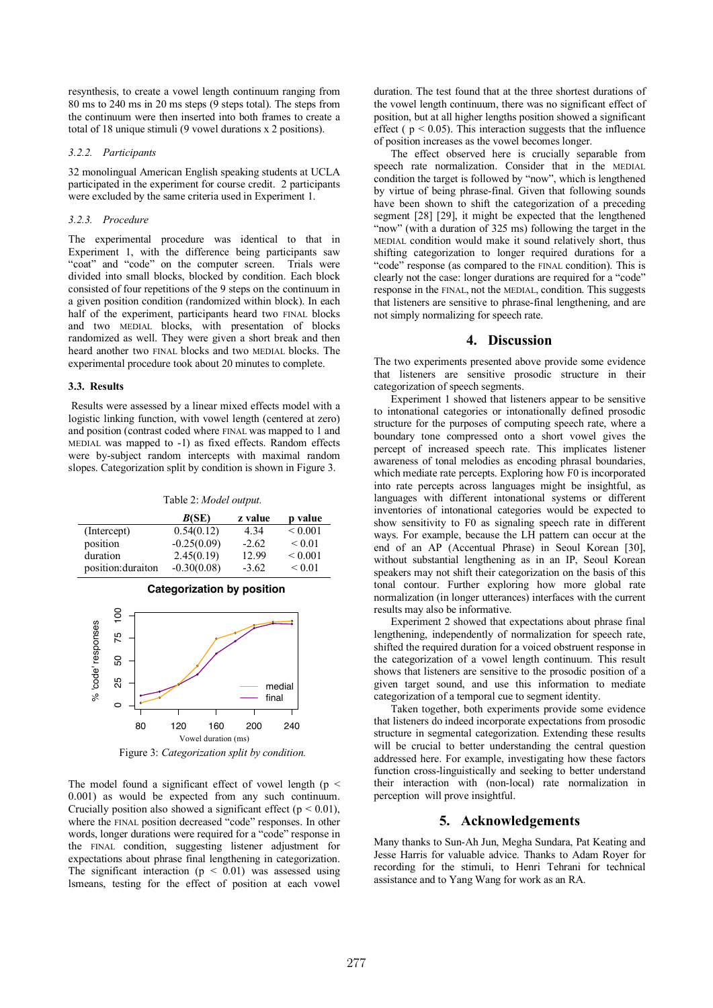resynthesis, to create a vowel length continuum ranging from 80 ms to 240 ms in 20 ms steps (9 steps total). The steps from the continuum were then inserted into both frames to create a total of 18 unique stimuli (9 vowel durations x 2 positions).

#### *3.2.2. Participants*

32 monolingual American English speaking students at UCLA participated in the experiment for course credit. 2 participants were excluded by the same criteria used in Experiment 1.

#### *3.2.3. Procedure*

The experimental procedure was identical to that in Experiment 1, with the difference being participants saw "coat" and "code" on the computer screen. Trials were divided into small blocks, blocked by condition. Each block consisted of four repetitions of the 9 steps on the continuum in a given position condition (randomized within block). In each half of the experiment, participants heard two FINAL blocks and two MEDIAL blocks, with presentation of blocks randomized as well. They were given a short break and then heard another two FINAL blocks and two MEDIAL blocks. The experimental procedure took about 20 minutes to complete.

### **3.3. Results**

Results were assessed by a linear mixed effects model with a logistic linking function, with vowel length (centered at zero) and position (contrast coded where FINAL was mapped to 1 and MEDIAL was mapped to -1) as fixed effects. Random effects were by-subject random intercepts with maximal random slopes. Categorization split by condition is shown in Figure 3.

Table 2: *Model output.*

|                    | B(SE)         | z value | p value      |
|--------------------|---------------|---------|--------------|
| (Intercept)        | 0.54(0.12)    | 4.34    | ${}_{0.001}$ |
| position           | $-0.25(0.09)$ | $-2.62$ | ${}_{0.01}$  |
| duration           | 2.45(0.19)    | 12.99   | ${}_{0.001}$ |
| position: duraiton | $-0.30(0.08)$ | $-3.62$ | ${}_{0.01}$  |



Figure 3: Categorization split by condition.

The model found a significant effect of vowel length ( $p <$ 0.001) as would be expected from any such continuum. Crucially position also showed a significant effect ( $p < 0.01$ ), where the FINAL position decreased "code" responses. In other words, longer durations were required for a "code" response in the FINAL condition, suggesting listener adjustment for expectations about phrase final lengthening in categorization. The significant interaction ( $p < 0.01$ ) was assessed using lsmeans, testing for the effect of position at each vowel duration. The test found that at the three shortest durations of the vowel length continuum, there was no significant effect of position, but at all higher lengths position showed a significant effect ( $p < 0.05$ ). This interaction suggests that the influence of position increases as the vowel becomes longer.

The effect observed here is crucially separable from speech rate normalization. Consider that in the MEDIAL condition the target is followed by "now", which is lengthened by virtue of being phrase-final. Given that following sounds have been shown to shift the categorization of a preceding segment [28] [29], it might be expected that the lengthened "now" (with a duration of 325 ms) following the target in the MEDIAL condition would make it sound relatively short, thus shifting categorization to longer required durations for a "code" response (as compared to the FINAL condition). This is clearly not the case: longer durations are required for a "code" response in the FINAL, not the MEDIAL, condition. This suggests that listeners are sensitive to phrase-final lengthening, and are not simply normalizing for speech rate.

## **4. Discussion**

The two experiments presented above provide some evidence that listeners are sensitive prosodic structure in their categorization of speech segments.

Experiment 1 showed that listeners appear to be sensitive to intonational categories or intonationally defined prosodic structure for the purposes of computing speech rate, where a boundary tone compressed onto a short vowel gives the percept of increased speech rate. This implicates listener awareness of tonal melodies as encoding phrasal boundaries, which mediate rate percepts. Exploring how F0 is incorporated into rate percepts across languages might be insightful, as languages with different intonational systems or different inventories of intonational categories would be expected to show sensitivity to F0 as signaling speech rate in different ways. For example, because the LH pattern can occur at the end of an AP (Accentual Phrase) in Seoul Korean [30], without substantial lengthening as in an IP, Seoul Korean speakers may not shift their categorization on the basis of this tonal contour. Further exploring how more global rate normalization (in longer utterances) interfaces with the current results may also be informative.

Experiment 2 showed that expectations about phrase final lengthening, independently of normalization for speech rate, shifted the required duration for a voiced obstruent response in the categorization of a vowel length continuum. This result shows that listeners are sensitive to the prosodic position of a given target sound, and use this information to mediate categorization of a temporal cue to segment identity.

Taken together, both experiments provide some evidence that listeners do indeed incorporate expectations from prosodic structure in segmental categorization. Extending these results will be crucial to better understanding the central question addressed here. For example, investigating how these factors function cross-linguistically and seeking to better understand their interaction with (non-local) rate normalization in perception will prove insightful.

## **5. Acknowledgements**

Many thanks to Sun-Ah Jun, Megha Sundara, Pat Keating and Jesse Harris for valuable advice. Thanks to Adam Royer for recording for the stimuli, to Henri Tehrani for technical assistance and to Yang Wang for work as an RA.